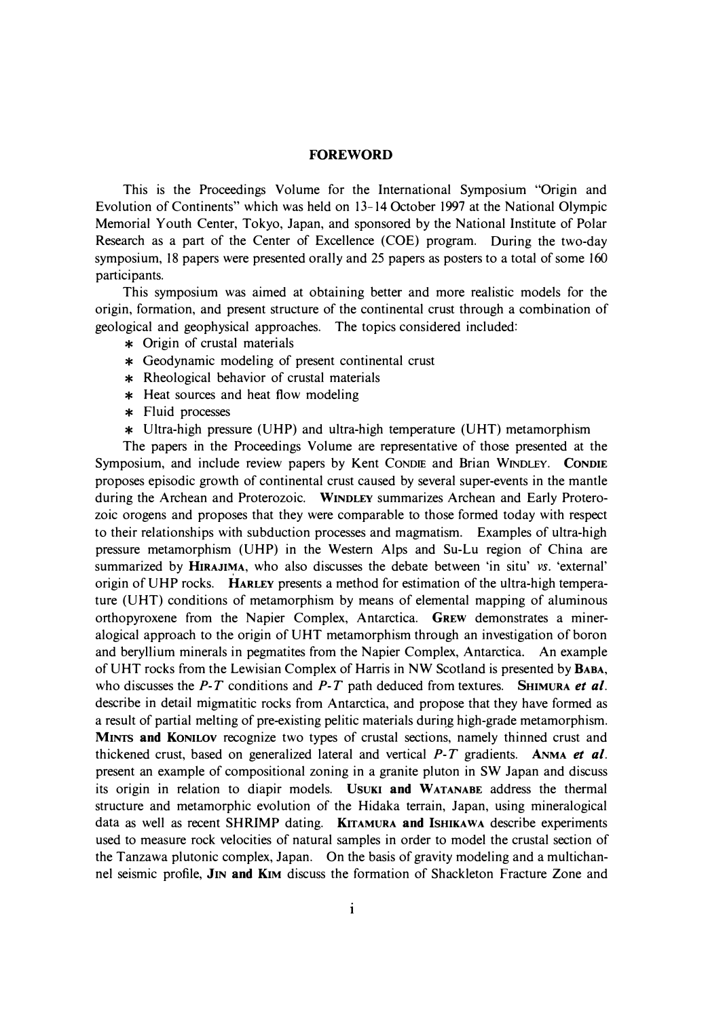## **FOREWORD**

This is the Proceedings Volume for the International Symposium "Origin and Evolution of Continents" which was held on 13-14 October 1997 at the National Olympic Memorial Youth Center, Tokyo, Japan, and sponsored by the National Institute of Polar Research as a part of the Center of Excellence (COE) program. During the two-day symposium, 18 papers were presented orally and 25 papers as posters to a total of some 160 participants.

This symposium was aimed at obtaining better and more realistic models for the origin, formation, and present structure of the continental crust through a combination of geological and geophysical approaches. The topics considered included:

- \* Origin of crustal materials
- \* Geodynamic modeling of present continental crust
- \* Rheological behavior of crustal materials
- \* Heat sources and heat flow modeling
- \* Fluid processes
- \* Ultra-high pressure (UHP) and ultra-high temperature (UHT) metamorphism

The papers in the Proceedings Volume are representative of those presented at the Symposium, and include review papers by Kent CONDIE and Brian WINDLEY. **CONDIE**  proposes episodic growth of continental crust caused by several super-events in the mantle during the Archean and Proterozoic. **WINDLEY** summarizes Archean and Early Proterozoic orogens and proposes that they were comparable to those formed today with respect to their relationships with subduction processes and magmatism. Examples of ultra-high pressure metamorphism (UHP) in the Western Alps and Su-Lu region of China are summarized by **HIRAJI�A,** who also discusses the debate between 'in situ' *vs.* 'external' origin of UHP rocks. **HARLEY** presents a method for estimation of the ultra-high temperature (UHT) conditions of metamorphism by means of elemental mapping of aluminous orthopyroxene from the Napier Complex, Antarctica. **GREW** demonstrates a mineralogical approach to the origin of UHT metamorphism through an investigation of boron and beryllium minerals in pegmatites from the Napier Complex, Antarctica. An example of UHT rocks from the Lewisian Complex of Harris in NW Scotland is presented by **BABA,**  who discusses the *P-T* conditions and *P-T* path deduced from textures. **SHIMURA** *et al.* describe in detail migmatitic rocks from Antarctica, and propose that they have formed as a result of partial melting of pre-existing pelitic materials during high-grade metamorphism. **MINTS and KONILOV** recognize two types of crustal sections, namely thinned crust and thickened crust, based on generalized lateral and vertical *P-T* gradients. **ANMA** *et al.*  present an example of compositional zoning in a granite pluton in SW Japan and discuss its origin in relation to diapir models. Usuki and WATANABE address the thermal structure and metamorphic evolution of the Hidaka terrain, Japan, using mineralogical data as well as recent **SHRIMP** dating. **KITAMURA and ISHIKAWA** describe experiments used to measure rock velocities of natural samples in order to model the crustal section of the Tanzawa plutonic complex, Japan. On the basis of gravity modeling and a multichannel seismic profile, **JIN and KIM** discuss the formation of Shackleton Fracture Zone and